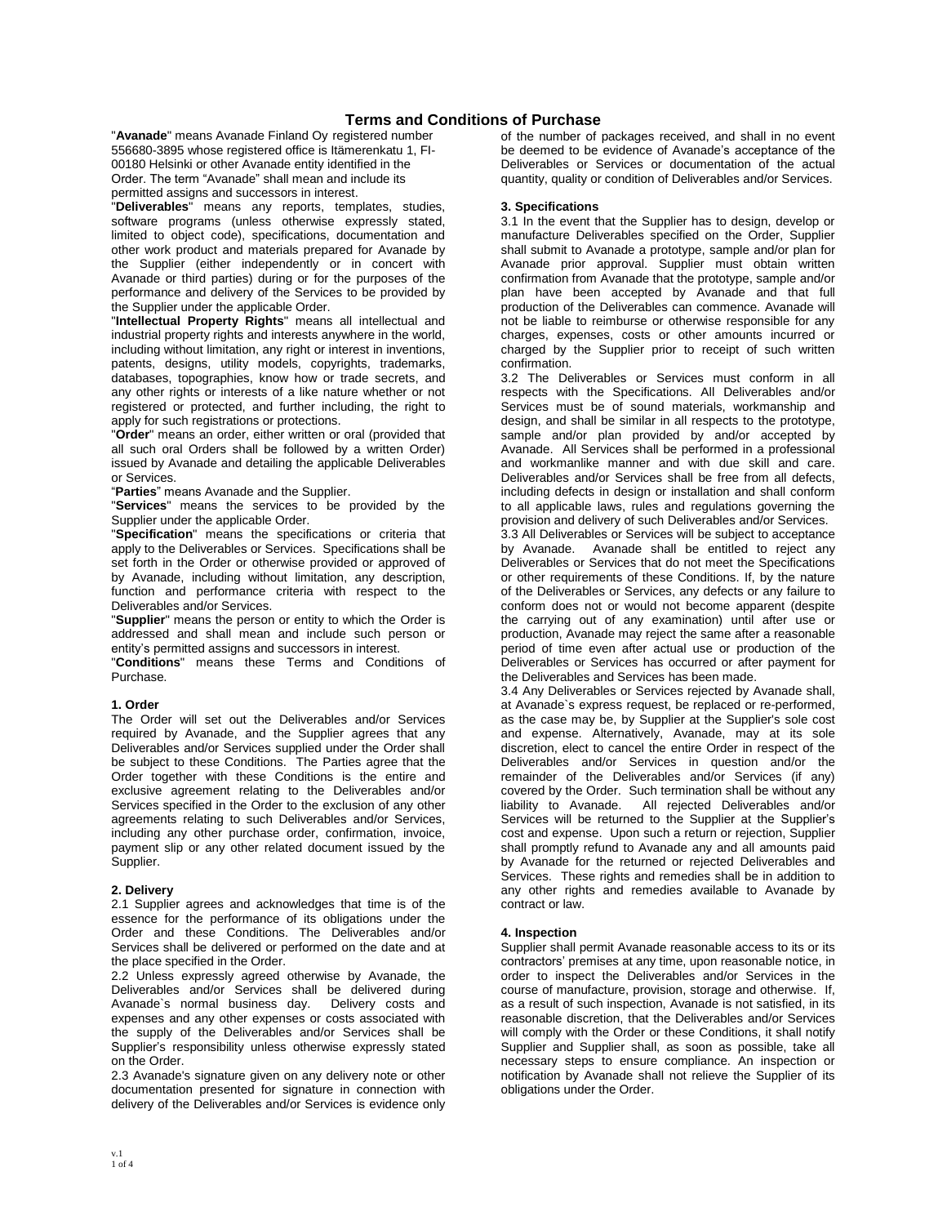# **Terms and Conditions of Purchase**

"**Avanade**" means Avanade Finland Oy registered number 556680-3895 whose registered office is Itämerenkatu 1, FI-00180 Helsinki or other Avanade entity identified in the Order. The term "Avanade" shall mean and include its permitted assigns and successors in interest.

"**Deliverables**" means any reports, templates, studies, software programs (unless otherwise expressly stated, limited to object code), specifications, documentation and other work product and materials prepared for Avanade by the Supplier (either independently or in concert with Avanade or third parties) during or for the purposes of the performance and delivery of the Services to be provided by the Supplier under the applicable Order.

"**Intellectual Property Rights**" means all intellectual and industrial property rights and interests anywhere in the world, including without limitation, any right or interest in inventions, patents, designs, utility models, copyrights, trademarks, databases, topographies, know how or trade secrets, and any other rights or interests of a like nature whether or not registered or protected, and further including, the right to apply for such registrations or protections.

"**Order**" means an order, either written or oral (provided that all such oral Orders shall be followed by a written Order) issued by Avanade and detailing the applicable Deliverables or Services.

"**Parties**" means Avanade and the Supplier.

"**Services**" means the services to be provided by the Supplier under the applicable Order.

"**Specification**" means the specifications or criteria that apply to the Deliverables or Services. Specifications shall be set forth in the Order or otherwise provided or approved of by Avanade, including without limitation, any description, function and performance criteria with respect to the Deliverables and/or Services.

"**Supplier**" means the person or entity to which the Order is addressed and shall mean and include such person or entity's permitted assigns and successors in interest.

"**Conditions**" means these Terms and Conditions of Purchase.

#### **1. Order**

The Order will set out the Deliverables and/or Services required by Avanade, and the Supplier agrees that any Deliverables and/or Services supplied under the Order shall be subject to these Conditions. The Parties agree that the Order together with these Conditions is the entire and exclusive agreement relating to the Deliverables and/or Services specified in the Order to the exclusion of any other agreements relating to such Deliverables and/or Services, including any other purchase order, confirmation, invoice, payment slip or any other related document issued by the Supplier.

#### **2. Delivery**

2.1 Supplier agrees and acknowledges that time is of the essence for the performance of its obligations under the Order and these Conditions. The Deliverables and/or Services shall be delivered or performed on the date and at the place specified in the Order.

2.2 Unless expressly agreed otherwise by Avanade, the Deliverables and/or Services shall be delivered during<br>Avanade`s normal business day. Delivery costs and Avanade's normal business day. expenses and any other expenses or costs associated with the supply of the Deliverables and/or Services shall be Supplier's responsibility unless otherwise expressly stated on the Order.

2.3 Avanade's signature given on any delivery note or other documentation presented for signature in connection with delivery of the Deliverables and/or Services is evidence only

of the number of packages received, and shall in no event be deemed to be evidence of Avanade's acceptance of the Deliverables or Services or documentation of the actual quantity, quality or condition of Deliverables and/or Services.

## **3. Specifications**

3.1 In the event that the Supplier has to design, develop or manufacture Deliverables specified on the Order, Supplier shall submit to Avanade a prototype, sample and/or plan for Avanade prior approval. Supplier must obtain written confirmation from Avanade that the prototype, sample and/or plan have been accepted by Avanade and that full production of the Deliverables can commence. Avanade will not be liable to reimburse or otherwise responsible for any charges, expenses, costs or other amounts incurred or charged by the Supplier prior to receipt of such written confirmation.

3.2 The Deliverables or Services must conform in all respects with the Specifications. All Deliverables and/or Services must be of sound materials, workmanship and design, and shall be similar in all respects to the prototype, sample and/or plan provided by and/or accepted by Avanade. All Services shall be performed in a professional and workmanlike manner and with due skill and care. Deliverables and/or Services shall be free from all defects, including defects in design or installation and shall conform to all applicable laws, rules and regulations governing the provision and delivery of such Deliverables and/or Services.

3.3 All Deliverables or Services will be subject to acceptance Avanade shall be entitled to reject any Deliverables or Services that do not meet the Specifications or other requirements of these Conditions. If, by the nature of the Deliverables or Services, any defects or any failure to conform does not or would not become apparent (despite the carrying out of any examination) until after use or production, Avanade may reject the same after a reasonable period of time even after actual use or production of the Deliverables or Services has occurred or after payment for the Deliverables and Services has been made.

3.4 Any Deliverables or Services rejected by Avanade shall, at Avanade`s express request, be replaced or re-performed, as the case may be, by Supplier at the Supplier's sole cost and expense. Alternatively, Avanade, may at its sole discretion, elect to cancel the entire Order in respect of the Deliverables and/or Services in question and/or the remainder of the Deliverables and/or Services (if any) covered by the Order. Such termination shall be without any liability to Avanade. All rejected Deliverables and/or Services will be returned to the Supplier at the Supplier's cost and expense. Upon such a return or rejection, Supplier shall promptly refund to Avanade any and all amounts paid by Avanade for the returned or rejected Deliverables and Services. These rights and remedies shall be in addition to any other rights and remedies available to Avanade by contract or law.

#### **4. Inspection**

Supplier shall permit Avanade reasonable access to its or its contractors' premises at any time, upon reasonable notice, in order to inspect the Deliverables and/or Services in the course of manufacture, provision, storage and otherwise. If, as a result of such inspection, Avanade is not satisfied, in its reasonable discretion, that the Deliverables and/or Services will comply with the Order or these Conditions, it shall notify Supplier and Supplier shall, as soon as possible, take all necessary steps to ensure compliance. An inspection or notification by Avanade shall not relieve the Supplier of its obligations under the Order.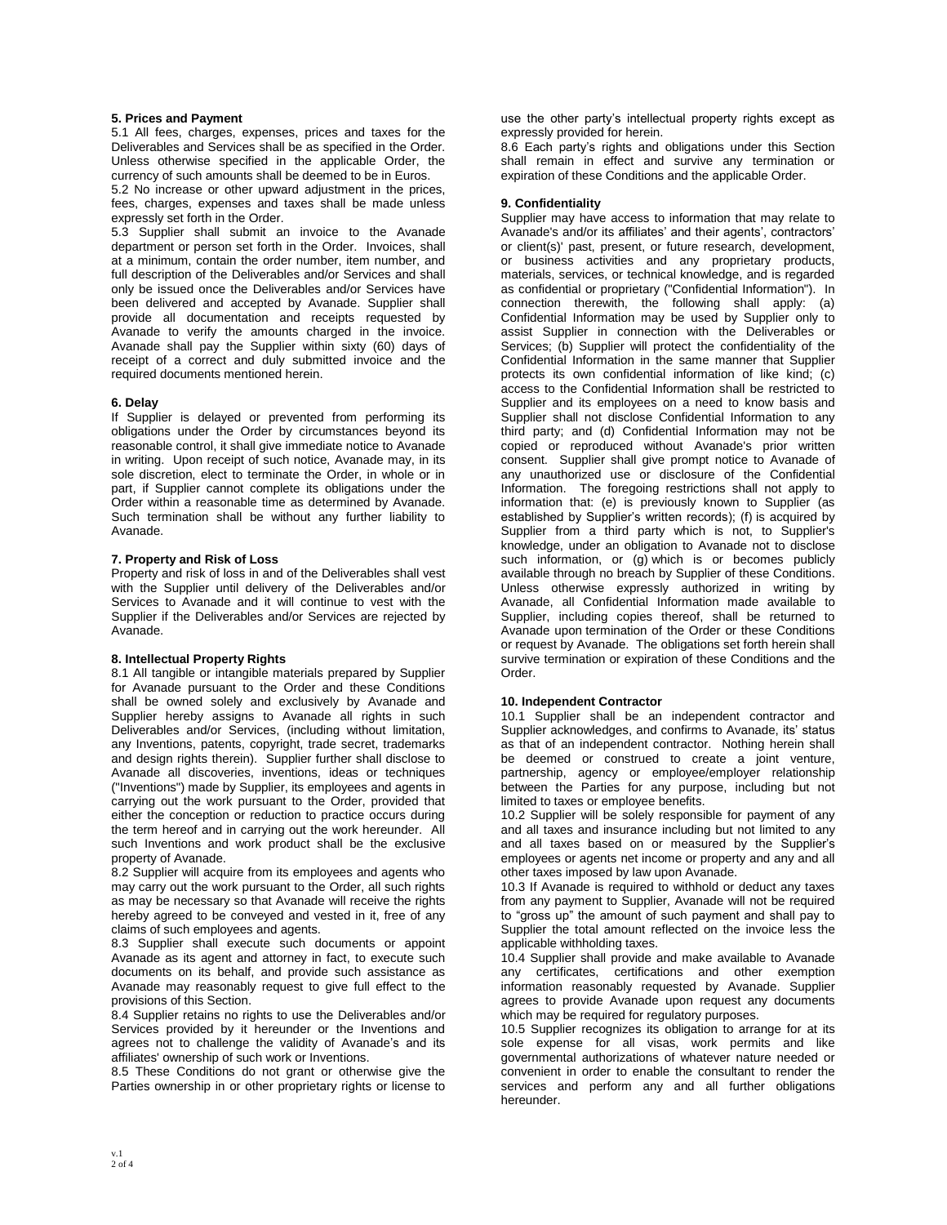## **5. Prices and Payment**

5.1 All fees, charges, expenses, prices and taxes for the Deliverables and Services shall be as specified in the Order. Unless otherwise specified in the applicable Order, the currency of such amounts shall be deemed to be in Euros.

5.2 No increase or other upward adjustment in the prices, fees, charges, expenses and taxes shall be made unless expressly set forth in the Order.

5.3 Supplier shall submit an invoice to the Avanade department or person set forth in the Order. Invoices, shall at a minimum, contain the order number, item number, and full description of the Deliverables and/or Services and shall only be issued once the Deliverables and/or Services have been delivered and accepted by Avanade. Supplier shall provide all documentation and receipts requested by Avanade to verify the amounts charged in the invoice. Avanade shall pay the Supplier within sixty (60) days of receipt of a correct and duly submitted invoice and the required documents mentioned herein.

# **6. Delay**

If Supplier is delayed or prevented from performing its obligations under the Order by circumstances beyond its reasonable control, it shall give immediate notice to Avanade in writing. Upon receipt of such notice, Avanade may, in its sole discretion, elect to terminate the Order, in whole or in part, if Supplier cannot complete its obligations under the Order within a reasonable time as determined by Avanade. Such termination shall be without any further liability to Avanade.

# **7. Property and Risk of Loss**

Property and risk of loss in and of the Deliverables shall vest with the Supplier until delivery of the Deliverables and/or Services to Avanade and it will continue to vest with the Supplier if the Deliverables and/or Services are rejected by Avanade.

## **8. Intellectual Property Rights**

8.1 All tangible or intangible materials prepared by Supplier for Avanade pursuant to the Order and these Conditions shall be owned solely and exclusively by Avanade and Supplier hereby assigns to Avanade all rights in such Deliverables and/or Services, (including without limitation, any Inventions, patents, copyright, trade secret, trademarks and design rights therein). Supplier further shall disclose to Avanade all discoveries, inventions, ideas or techniques ("Inventions") made by Supplier, its employees and agents in carrying out the work pursuant to the Order, provided that either the conception or reduction to practice occurs during the term hereof and in carrying out the work hereunder. All such Inventions and work product shall be the exclusive property of Avanade.

8.2 Supplier will acquire from its employees and agents who may carry out the work pursuant to the Order, all such rights as may be necessary so that Avanade will receive the rights hereby agreed to be conveyed and vested in it, free of any claims of such employees and agents.

8.3 Supplier shall execute such documents or appoint Avanade as its agent and attorney in fact, to execute such documents on its behalf, and provide such assistance as Avanade may reasonably request to give full effect to the provisions of this Section.

8.4 Supplier retains no rights to use the Deliverables and/or Services provided by it hereunder or the Inventions and agrees not to challenge the validity of Avanade's and its affiliates' ownership of such work or Inventions.

8.5 These Conditions do not grant or otherwise give the Parties ownership in or other proprietary rights or license to

use the other party's intellectual property rights except as expressly provided for herein.

8.6 Each party's rights and obligations under this Section shall remain in effect and survive any termination or expiration of these Conditions and the applicable Order.

### **9. Confidentiality**

Supplier may have access to information that may relate to Avanade's and/or its affiliates' and their agents', contractors' or client(s)' past, present, or future research, development, or business activities and any proprietary products, materials, services, or technical knowledge, and is regarded as confidential or proprietary ("Confidential Information"). In connection therewith, the following shall apply: (a) Confidential Information may be used by Supplier only to assist Supplier in connection with the Deliverables or Services; (b) Supplier will protect the confidentiality of the Confidential Information in the same manner that Supplier protects its own confidential information of like kind; (c) access to the Confidential Information shall be restricted to Supplier and its employees on a need to know basis and Supplier shall not disclose Confidential Information to any third party; and (d) Confidential Information may not be copied or reproduced without Avanade's prior written consent. Supplier shall give prompt notice to Avanade of any unauthorized use or disclosure of the Confidential Information. The foregoing restrictions shall not apply to information that: (e) is previously known to Supplier (as established by Supplier's written records); (f) is acquired by Supplier from a third party which is not, to Supplier's knowledge, under an obligation to Avanade not to disclose such information, or (g) which is or becomes publicly available through no breach by Supplier of these Conditions. Unless otherwise expressly authorized in writing by Avanade, all Confidential Information made available to Supplier, including copies thereof, shall be returned to Avanade upon termination of the Order or these Conditions or request by Avanade. The obligations set forth herein shall survive termination or expiration of these Conditions and the Order.

#### **10. Independent Contractor**

10.1 Supplier shall be an independent contractor and Supplier acknowledges, and confirms to Avanade, its' status as that of an independent contractor. Nothing herein shall be deemed or construed to create a joint venture, partnership, agency or employee/employer relationship between the Parties for any purpose, including but not limited to taxes or employee benefits.

10.2 Supplier will be solely responsible for payment of any and all taxes and insurance including but not limited to any and all taxes based on or measured by the Supplier's employees or agents net income or property and any and all other taxes imposed by law upon Avanade.

10.3 If Avanade is required to withhold or deduct any taxes from any payment to Supplier, Avanade will not be required to "gross up" the amount of such payment and shall pay to Supplier the total amount reflected on the invoice less the applicable withholding taxes.

10.4 Supplier shall provide and make available to Avanade any certificates, certifications and other exemption information reasonably requested by Avanade. Supplier agrees to provide Avanade upon request any documents which may be required for regulatory purposes.

10.5 Supplier recognizes its obligation to arrange for at its sole expense for all visas, work permits and like governmental authorizations of whatever nature needed or convenient in order to enable the consultant to render the services and perform any and all further obligations hereunder.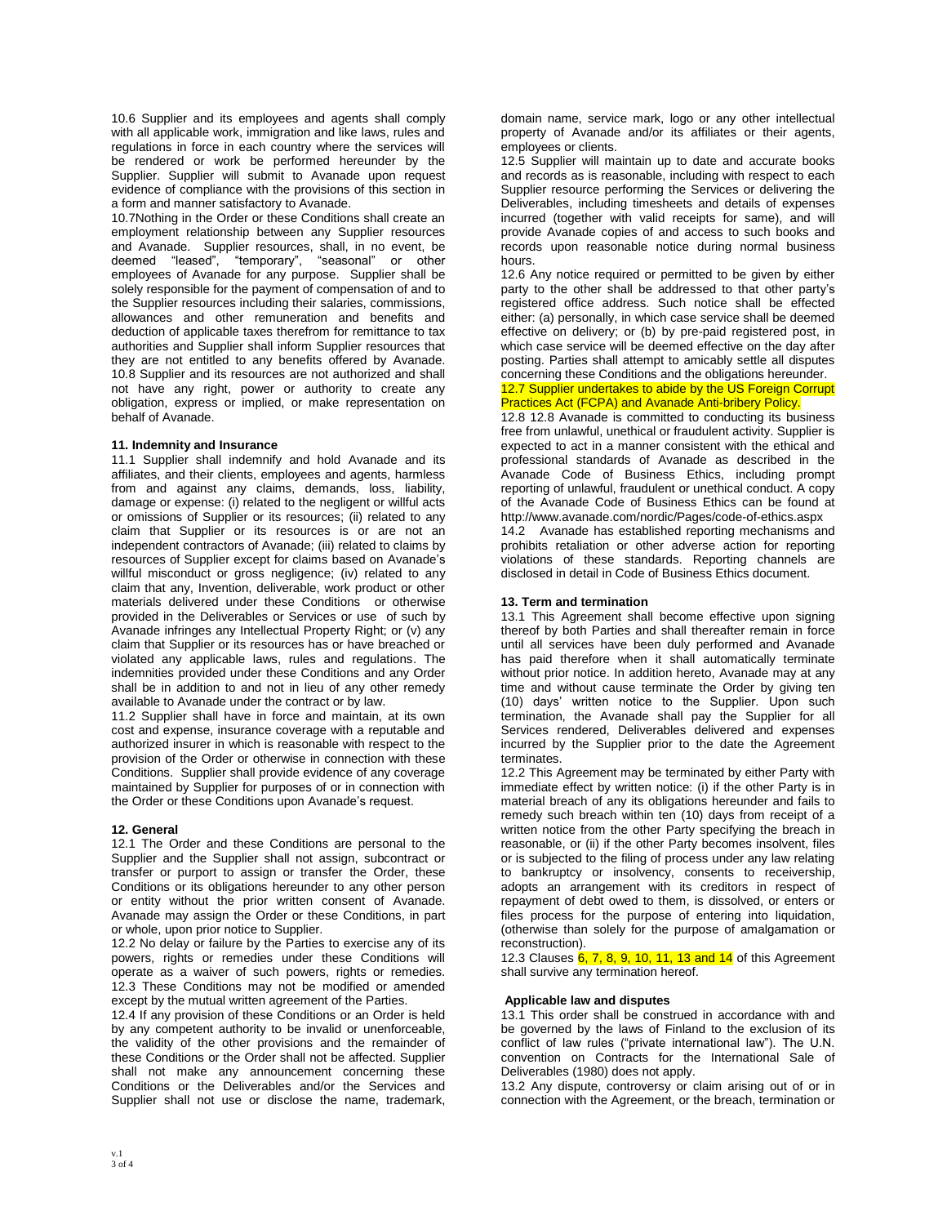10.6 Supplier and its employees and agents shall comply with all applicable work, immigration and like laws, rules and regulations in force in each country where the services will be rendered or work be performed hereunder by the Supplier. Supplier will submit to Avanade upon request evidence of compliance with the provisions of this section in a form and manner satisfactory to Avanade.

10.7Nothing in the Order or these Conditions shall create an employment relationship between any Supplier resources and Avanade. Supplier resources, shall, in no event, be deemed "leased", "temporary", "seasonal" or other employees of Avanade for any purpose. Supplier shall be solely responsible for the payment of compensation of and to the Supplier resources including their salaries, commissions, allowances and other remuneration and benefits and deduction of applicable taxes therefrom for remittance to tax authorities and Supplier shall inform Supplier resources that they are not entitled to any benefits offered by Avanade. 10.8 Supplier and its resources are not authorized and shall not have any right, power or authority to create any obligation, express or implied, or make representation on behalf of Avanade.

## **11. Indemnity and Insurance**

11.1 Supplier shall indemnify and hold Avanade and its affiliates, and their clients, employees and agents, harmless from and against any claims, demands, loss, liability, damage or expense: (i) related to the negligent or willful acts or omissions of Supplier or its resources; (ii) related to any claim that Supplier or its resources is or are not an independent contractors of Avanade; (iii) related to claims by resources of Supplier except for claims based on Avanade's willful misconduct or gross negligence; (iv) related to any claim that any, Invention, deliverable, work product or other materials delivered under these Conditions or otherwise provided in the Deliverables or Services or use of such by Avanade infringes any Intellectual Property Right; or (v) any claim that Supplier or its resources has or have breached or violated any applicable laws, rules and regulations. The indemnities provided under these Conditions and any Order shall be in addition to and not in lieu of any other remedy available to Avanade under the contract or by law.

11.2 Supplier shall have in force and maintain, at its own cost and expense, insurance coverage with a reputable and authorized insurer in which is reasonable with respect to the provision of the Order or otherwise in connection with these Conditions. Supplier shall provide evidence of any coverage maintained by Supplier for purposes of or in connection with the Order or these Conditions upon Avanade's request.

#### **12. General**

12.1 The Order and these Conditions are personal to the Supplier and the Supplier shall not assign, subcontract or transfer or purport to assign or transfer the Order, these Conditions or its obligations hereunder to any other person or entity without the prior written consent of Avanade. Avanade may assign the Order or these Conditions, in part or whole, upon prior notice to Supplier.

12.2 No delay or failure by the Parties to exercise any of its powers, rights or remedies under these Conditions will operate as a waiver of such powers, rights or remedies. 12.3 These Conditions may not be modified or amended except by the mutual written agreement of the Parties.

12.4 If any provision of these Conditions or an Order is held by any competent authority to be invalid or unenforceable, the validity of the other provisions and the remainder of these Conditions or the Order shall not be affected. Supplier shall not make any announcement concerning these Conditions or the Deliverables and/or the Services and Supplier shall not use or disclose the name, trademark, domain name, service mark, logo or any other intellectual property of Avanade and/or its affiliates or their agents, employees or clients.

12.5 Supplier will maintain up to date and accurate books and records as is reasonable, including with respect to each Supplier resource performing the Services or delivering the Deliverables, including timesheets and details of expenses incurred (together with valid receipts for same), and will provide Avanade copies of and access to such books and records upon reasonable notice during normal business hours.

12.6 Any notice required or permitted to be given by either party to the other shall be addressed to that other party's registered office address. Such notice shall be effected either: (a) personally, in which case service shall be deemed effective on delivery; or (b) by pre-paid registered post, in which case service will be deemed effective on the day after posting. Parties shall attempt to amicably settle all disputes concerning these Conditions and the obligations hereunder.

# 12.7 Supplier undertakes to abide by the US Foreign Corrupt Practices Act (FCPA) and Avanade Anti-bribery Policy.

12.8 12.8 Avanade is committed to conducting its business free from unlawful, unethical or fraudulent activity. Supplier is expected to act in a manner consistent with the ethical and professional standards of Avanade as described in the Avanade Code of Business Ethics, including prompt reporting of unlawful, fraudulent or unethical conduct. A copy of the Avanade Code of Business Ethics can be found at http://www.avanade.com/nordic/Pages/code-of-ethics.aspx

14.2 Avanade has established reporting mechanisms and prohibits retaliation or other adverse action for reporting violations of these standards. Reporting channels are disclosed in detail in Code of Business Ethics document.

# **13. Term and termination**

13.1 This Agreement shall become effective upon signing thereof by both Parties and shall thereafter remain in force until all services have been duly performed and Avanade has paid therefore when it shall automatically terminate without prior notice. In addition hereto, Avanade may at any time and without cause terminate the Order by giving ten (10) days' written notice to the Supplier. Upon such termination, the Avanade shall pay the Supplier for all Services rendered, Deliverables delivered and expenses incurred by the Supplier prior to the date the Agreement terminates.

12.2 This Agreement may be terminated by either Party with immediate effect by written notice: (i) if the other Party is in material breach of any its obligations hereunder and fails to remedy such breach within ten (10) days from receipt of a written notice from the other Party specifying the breach in reasonable, or (ii) if the other Party becomes insolvent, files or is subjected to the filing of process under any law relating to bankruptcy or insolvency, consents to receivership, adopts an arrangement with its creditors in respect of repayment of debt owed to them, is dissolved, or enters or files process for the purpose of entering into liquidation, (otherwise than solely for the purpose of amalgamation or reconstruction).

12.3 Clauses 6, 7, 8, 9, 10, 11, 13 and 14 of this Agreement shall survive any termination hereof.

## **Applicable law and disputes**

13.1 This order shall be construed in accordance with and be governed by the laws of Finland to the exclusion of its conflict of law rules ("private international law"). The U.N. convention on Contracts for the International Sale of Deliverables (1980) does not apply.

13.2 Any dispute, controversy or claim arising out of or in connection with the Agreement, or the breach, termination or